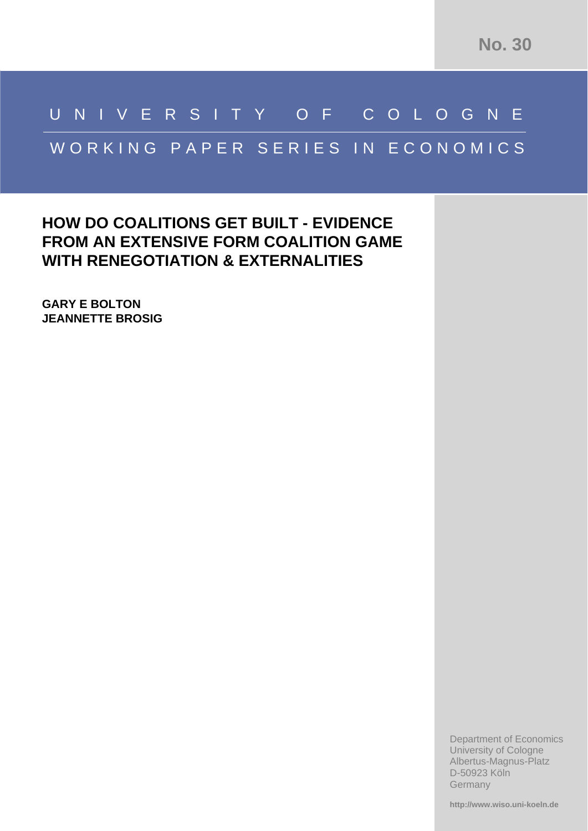# UNIVERSITY O F CO LOGNE

# WORKING PAPER SERIES IN ECONOMICS

## **HOW DO COALITIONS GET BUILT - 
EVIDENCE FROM AN EXTENSIVE FORM COALITION GAME WITH RENEGOTIATION & EXTERNALITIES**

**GARY E BOLTON JEANNETTE BROSIG**

> Department of Economics University of Cologne Albertus-Magnus-Platz D-50923 Köln **Germany**

**http://www.wiso.uni-koeln.de**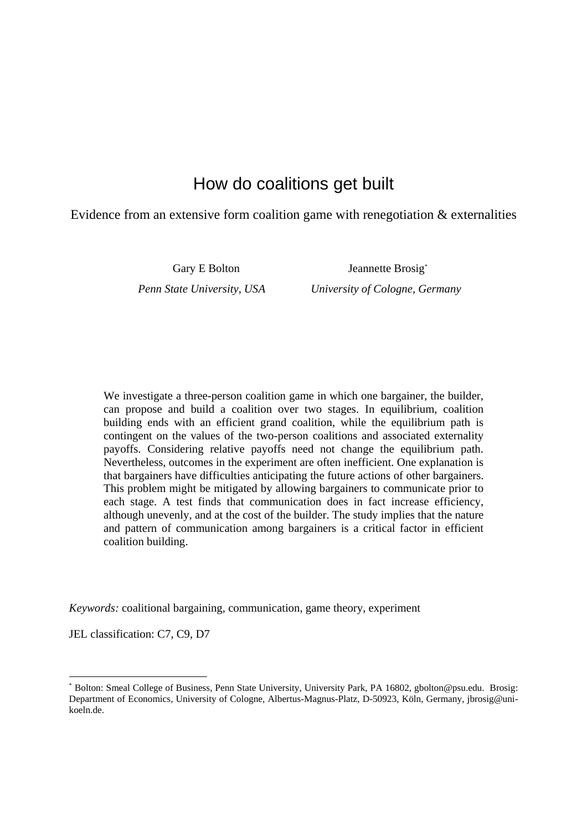### How do coalitions get built

Evidence from an extensive form coalition game with renegotiation & externalities

Gary E Bolton Jeannette Brosig<sup>\*</sup> *Penn State University, USA University of Cologne, Germany* 

We investigate a three-person coalition game in which one bargainer, the builder, can propose and build a coalition over two stages. In equilibrium, coalition building ends with an efficient grand coalition, while the equilibrium path is contingent on the values of the two-person coalitions and associated externality payoffs. Considering relative payoffs need not change the equilibrium path. Nevertheless, outcomes in the experiment are often inefficient. One explanation is that bargainers have difficulties anticipating the future actions of other bargainers. This problem might be mitigated by allowing bargainers to communicate prior to each stage. A test finds that communication does in fact increase efficiency, although unevenly, and at the cost of the builder. The study implies that the nature and pattern of communication among bargainers is a critical factor in efficient coalition building.

*Keywords:* coalitional bargaining, communication, game theory, experiment

JEL classification: C7, C9, D7

<sup>\*</sup> Bolton: Smeal College of Business, Penn State University, University Park, PA 16802, gbolton@psu.edu. Brosig: Department of Economics, University of Cologne, Albertus-Magnus-Platz, D-50923, Köln, Germany, jbrosig@unikoeln.de.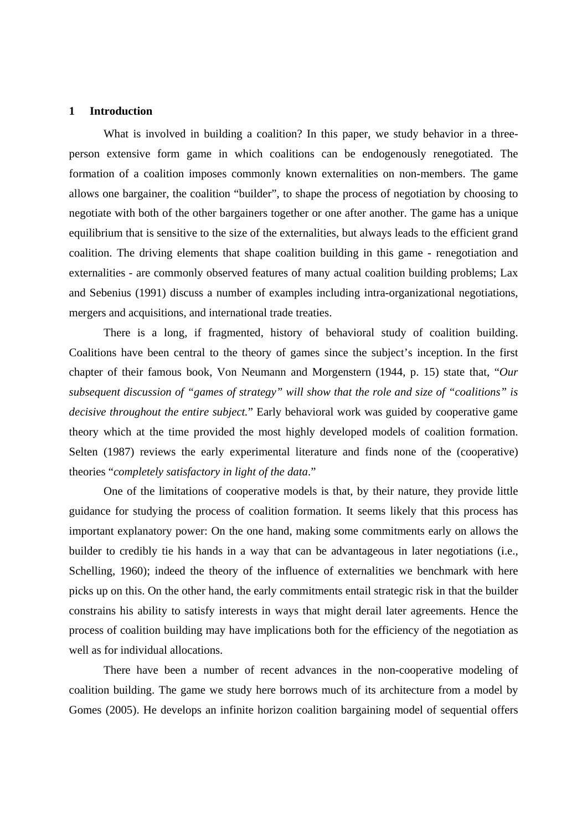#### **1 Introduction**

What is involved in building a coalition? In this paper, we study behavior in a threeperson extensive form game in which coalitions can be endogenously renegotiated. The formation of a coalition imposes commonly known externalities on non-members. The game allows one bargainer, the coalition "builder", to shape the process of negotiation by choosing to negotiate with both of the other bargainers together or one after another. The game has a unique equilibrium that is sensitive to the size of the externalities, but always leads to the efficient grand coalition. The driving elements that shape coalition building in this game - renegotiation and externalities - are commonly observed features of many actual coalition building problems; Lax and Sebenius (1991) discuss a number of examples including intra-organizational negotiations, mergers and acquisitions, and international trade treaties.

There is a long, if fragmented, history of behavioral study of coalition building. Coalitions have been central to the theory of games since the subject's inception. In the first chapter of their famous book, Von Neumann and Morgenstern (1944, p. 15) state that, "*Our subsequent discussion of "games of strategy" will show that the role and size of "coalitions" is decisive throughout the entire subject.*" Early behavioral work was guided by cooperative game theory which at the time provided the most highly developed models of coalition formation. Selten (1987) reviews the early experimental literature and finds none of the (cooperative) theories "*completely satisfactory in light of the data*."

One of the limitations of cooperative models is that, by their nature, they provide little guidance for studying the process of coalition formation. It seems likely that this process has important explanatory power: On the one hand, making some commitments early on allows the builder to credibly tie his hands in a way that can be advantageous in later negotiations (i.e., Schelling, 1960); indeed the theory of the influence of externalities we benchmark with here picks up on this. On the other hand, the early commitments entail strategic risk in that the builder constrains his ability to satisfy interests in ways that might derail later agreements. Hence the process of coalition building may have implications both for the efficiency of the negotiation as well as for individual allocations.

 There have been a number of recent advances in the non-cooperative modeling of coalition building. The game we study here borrows much of its architecture from a model by Gomes (2005). He develops an infinite horizon coalition bargaining model of sequential offers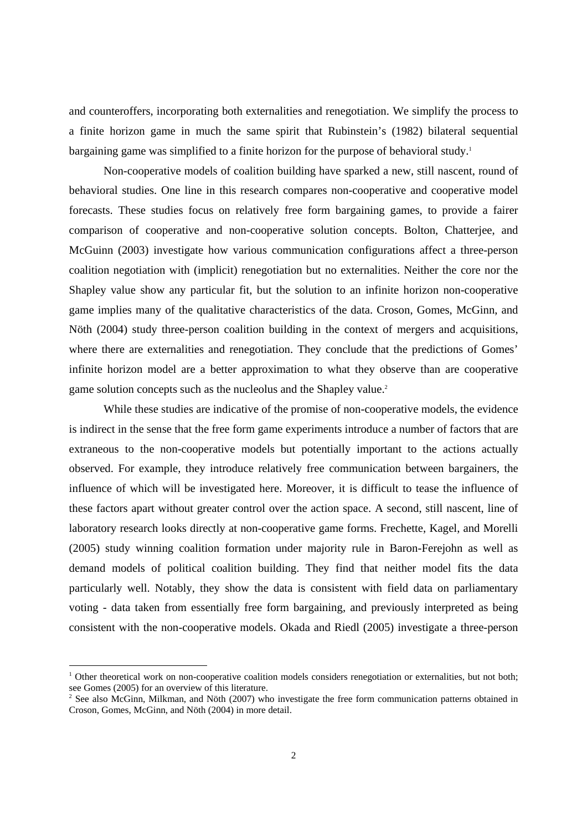and counteroffers, incorporating both externalities and renegotiation. We simplify the process to a finite horizon game in much the same spirit that Rubinstein's (1982) bilateral sequential bargaining game was simplified to a finite horizon for the purpose of behavioral study.<sup>1</sup>

 Non-cooperative models of coalition building have sparked a new, still nascent, round of behavioral studies. One line in this research compares non-cooperative and cooperative model forecasts. These studies focus on relatively free form bargaining games, to provide a fairer comparison of cooperative and non-cooperative solution concepts. Bolton, Chatterjee, and McGuinn (2003) investigate how various communication configurations affect a three-person coalition negotiation with (implicit) renegotiation but no externalities. Neither the core nor the Shapley value show any particular fit, but the solution to an infinite horizon non-cooperative game implies many of the qualitative characteristics of the data. Croson, Gomes, McGinn, and Nöth (2004) study three-person coalition building in the context of mergers and acquisitions, where there are externalities and renegotiation. They conclude that the predictions of Gomes' infinite horizon model are a better approximation to what they observe than are cooperative game solution concepts such as the nucleolus and the Shapley value.<sup>2</sup>

 While these studies are indicative of the promise of non-cooperative models, the evidence is indirect in the sense that the free form game experiments introduce a number of factors that are extraneous to the non-cooperative models but potentially important to the actions actually observed. For example, they introduce relatively free communication between bargainers, the influence of which will be investigated here. Moreover, it is difficult to tease the influence of these factors apart without greater control over the action space. A second, still nascent, line of laboratory research looks directly at non-cooperative game forms. Frechette, Kagel, and Morelli (2005) study winning coalition formation under majority rule in Baron-Ferejohn as well as demand models of political coalition building. They find that neither model fits the data particularly well. Notably, they show the data is consistent with field data on parliamentary voting - data taken from essentially free form bargaining, and previously interpreted as being consistent with the non-cooperative models. Okada and Riedl (2005) investigate a three-person

1

<sup>&</sup>lt;sup>1</sup> Other theoretical work on non-cooperative coalition models considers renegotiation or externalities, but not both; see Gomes (2005) for an overview of this literature.

<sup>&</sup>lt;sup>2</sup> See also McGinn, Milkman, and Nöth (2007) who investigate the free form communication patterns obtained in Croson, Gomes, McGinn, and Nöth (2004) in more detail.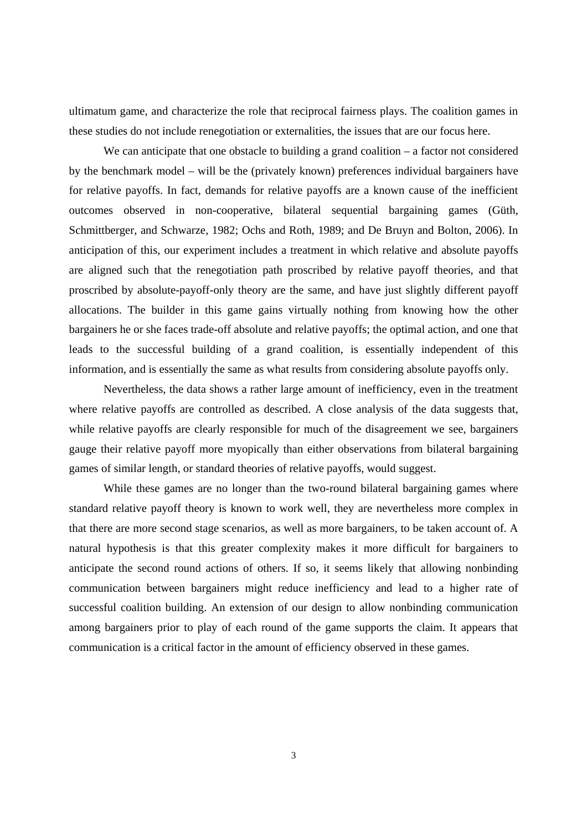ultimatum game, and characterize the role that reciprocal fairness plays. The coalition games in these studies do not include renegotiation or externalities, the issues that are our focus here.

We can anticipate that one obstacle to building a grand coalition – a factor not considered by the benchmark model – will be the (privately known) preferences individual bargainers have for relative payoffs. In fact, demands for relative payoffs are a known cause of the inefficient outcomes observed in non-cooperative, bilateral sequential bargaining games (Güth, Schmittberger, and Schwarze, 1982; Ochs and Roth, 1989; and De Bruyn and Bolton, 2006). In anticipation of this, our experiment includes a treatment in which relative and absolute payoffs are aligned such that the renegotiation path proscribed by relative payoff theories, and that proscribed by absolute-payoff-only theory are the same, and have just slightly different payoff allocations. The builder in this game gains virtually nothing from knowing how the other bargainers he or she faces trade-off absolute and relative payoffs; the optimal action, and one that leads to the successful building of a grand coalition, is essentially independent of this information, and is essentially the same as what results from considering absolute payoffs only.

 Nevertheless, the data shows a rather large amount of inefficiency, even in the treatment where relative payoffs are controlled as described. A close analysis of the data suggests that, while relative payoffs are clearly responsible for much of the disagreement we see, bargainers gauge their relative payoff more myopically than either observations from bilateral bargaining games of similar length, or standard theories of relative payoffs, would suggest.

 While these games are no longer than the two-round bilateral bargaining games where standard relative payoff theory is known to work well, they are nevertheless more complex in that there are more second stage scenarios, as well as more bargainers, to be taken account of. A natural hypothesis is that this greater complexity makes it more difficult for bargainers to anticipate the second round actions of others. If so, it seems likely that allowing nonbinding communication between bargainers might reduce inefficiency and lead to a higher rate of successful coalition building. An extension of our design to allow nonbinding communication among bargainers prior to play of each round of the game supports the claim. It appears that communication is a critical factor in the amount of efficiency observed in these games.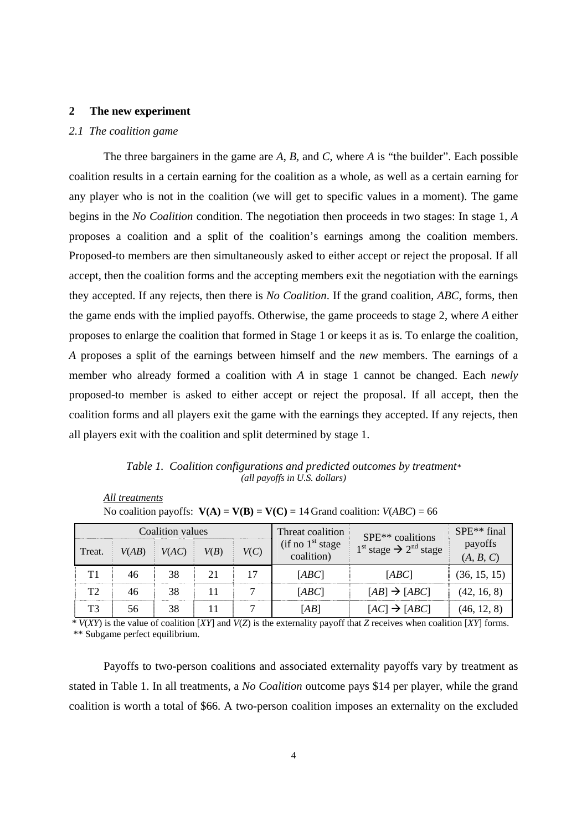#### **2 The new experiment**

#### *2.1 The coalition game*

 The three bargainers in the game are *A*, *B,* and *C*, where *A* is "the builder". Each possible coalition results in a certain earning for the coalition as a whole, as well as a certain earning for any player who is not in the coalition (we will get to specific values in a moment). The game begins in the *No Coalition* condition. The negotiation then proceeds in two stages: In stage 1, *A* proposes a coalition and a split of the coalition's earnings among the coalition members. Proposed-to members are then simultaneously asked to either accept or reject the proposal. If all accept, then the coalition forms and the accepting members exit the negotiation with the earnings they accepted. If any rejects, then there is *No Coalition*. If the grand coalition, *ABC*, forms, then the game ends with the implied payoffs. Otherwise, the game proceeds to stage 2, where *A* either proposes to enlarge the coalition that formed in Stage 1 or keeps it as is. To enlarge the coalition, *A* proposes a split of the earnings between himself and the *new* members. The earnings of a member who already formed a coalition with *A* in stage 1 cannot be changed. Each *newly* proposed-to member is asked to either accept or reject the proposal. If all accept, then the coalition forms and all players exit the game with the earnings they accepted. If any rejects, then all players exit with the coalition and split determined by stage 1.

*Table 1. Coalition configurations and predicted outcomes by treatment\* (all payoffs in U.S. dollars)* 

| All treatments |                                                                                |  |
|----------------|--------------------------------------------------------------------------------|--|
|                | No coalition payoffs: $V(A) = V(B) = V(C) = 14$ Grand coalition: $V(ABC) = 66$ |  |

| Coalition values |       |       | Threat coalition<br>$(if \text{ no } 1^{\text{st}} \text{ stage})$ | SPE <sup>**</sup> coalitions | $SPE**$ final<br>payoffs |                                                 |              |
|------------------|-------|-------|--------------------------------------------------------------------|------------------------------|--------------------------|-------------------------------------------------|--------------|
| Treat.           | V(AB) | V(AC) | V(B)                                                               | V(C)                         | coalition)               | $1st$ stage $\rightarrow$ 2 <sup>nd</sup> stage | (A, B, C)    |
| T1               | 46    | 38    | 21                                                                 | 17                           | [ABC]                    | [ABC]                                           | (36, 15, 15) |
| T <sub>2</sub>   | 46    | 38    |                                                                    |                              | [ABC]                    | $[AB] \rightarrow [ABC]$                        | (42, 16, 8)  |
| T <sub>3</sub>   | 56    | 38    |                                                                    |                              | [AB]                     | $[AC] \rightarrow [ABC]$                        | (46, 12, 8)  |

 *\* V*(*XY*) is the value of coalition [*XY*] and *V*(*Z*) is the externality payoff that *Z* receives when coalition [*XY*] forms. \*\* Subgame perfect equilibrium.

 Payoffs to two-person coalitions and associated externality payoffs vary by treatment as stated in Table 1. In all treatments, a *No Coalition* outcome pays \$14 per player, while the grand coalition is worth a total of \$66. A two-person coalition imposes an externality on the excluded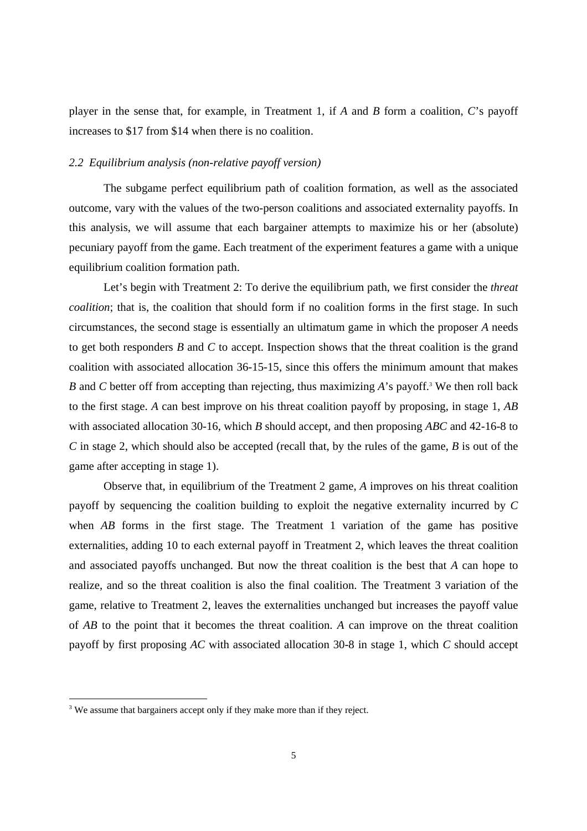player in the sense that, for example, in Treatment 1, if *A* and *B* form a coalition, *C*'s payoff increases to \$17 from \$14 when there is no coalition.

#### *2.2 Equilibrium analysis (non-relative payoff version)*

 The subgame perfect equilibrium path of coalition formation, as well as the associated outcome, vary with the values of the two-person coalitions and associated externality payoffs. In this analysis, we will assume that each bargainer attempts to maximize his or her (absolute) pecuniary payoff from the game. Each treatment of the experiment features a game with a unique equilibrium coalition formation path.

 Let's begin with Treatment 2: To derive the equilibrium path, we first consider the *threat coalition*; that is, the coalition that should form if no coalition forms in the first stage. In such circumstances, the second stage is essentially an ultimatum game in which the proposer *A* needs to get both responders *B* and *C* to accept. Inspection shows that the threat coalition is the grand coalition with associated allocation 36-15-15, since this offers the minimum amount that makes *B* and *C* better off from accepting than rejecting, thus maximizing *A*'s payoff.<sup>3</sup> We then roll back to the first stage. *A* can best improve on his threat coalition payoff by proposing, in stage 1, *AB* with associated allocation 30-16, which *B* should accept, and then proposing *ABC* and 42-16-8 to *C* in stage 2, which should also be accepted (recall that, by the rules of the game, *B* is out of the game after accepting in stage 1).

 Observe that, in equilibrium of the Treatment 2 game, *A* improves on his threat coalition payoff by sequencing the coalition building to exploit the negative externality incurred by *C* when *AB* forms in the first stage. The Treatment 1 variation of the game has positive externalities, adding 10 to each external payoff in Treatment 2, which leaves the threat coalition and associated payoffs unchanged. But now the threat coalition is the best that *A* can hope to realize, and so the threat coalition is also the final coalition. The Treatment 3 variation of the game, relative to Treatment 2, leaves the externalities unchanged but increases the payoff value of *AB* to the point that it becomes the threat coalition. *A* can improve on the threat coalition payoff by first proposing *AC* with associated allocation 30-8 in stage 1, which *C* should accept

<sup>&</sup>lt;sup>3</sup> We assume that bargainers accept only if they make more than if they reject.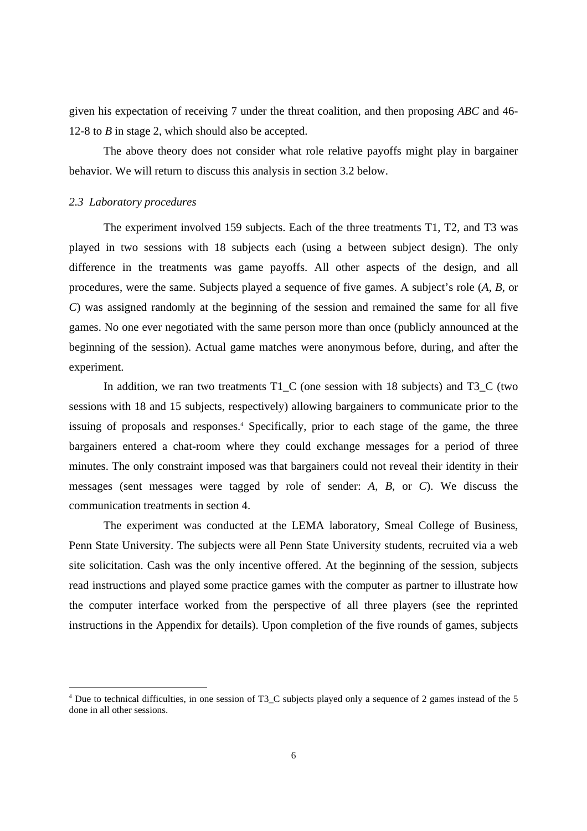given his expectation of receiving 7 under the threat coalition, and then proposing *ABC* and 46- 12-8 to *B* in stage 2, which should also be accepted.

 The above theory does not consider what role relative payoffs might play in bargainer behavior. We will return to discuss this analysis in section 3.2 below.

#### *2.3 Laboratory procedures*

-

The experiment involved 159 subjects. Each of the three treatments T1, T2, and T3 was played in two sessions with 18 subjects each (using a between subject design). The only difference in the treatments was game payoffs. All other aspects of the design, and all procedures, were the same. Subjects played a sequence of five games. A subject's role (*A*, *B*, or *C*) was assigned randomly at the beginning of the session and remained the same for all five games. No one ever negotiated with the same person more than once (publicly announced at the beginning of the session). Actual game matches were anonymous before, during, and after the experiment.

In addition, we ran two treatments T1  $\,C$  (one session with 18 subjects) and T3  $\,C$  (two sessions with 18 and 15 subjects, respectively) allowing bargainers to communicate prior to the issuing of proposals and responses.<sup>4</sup> Specifically, prior to each stage of the game, the three bargainers entered a chat-room where they could exchange messages for a period of three minutes. The only constraint imposed was that bargainers could not reveal their identity in their messages (sent messages were tagged by role of sender: *A*, *B*, or *C*). We discuss the communication treatments in section 4.

 The experiment was conducted at the LEMA laboratory, Smeal College of Business, Penn State University. The subjects were all Penn State University students, recruited via a web site solicitation. Cash was the only incentive offered. At the beginning of the session, subjects read instructions and played some practice games with the computer as partner to illustrate how the computer interface worked from the perspective of all three players (see the reprinted instructions in the Appendix for details). Upon completion of the five rounds of games, subjects

<sup>4</sup> Due to technical difficulties, in one session of T3\_C subjects played only a sequence of 2 games instead of the 5 done in all other sessions.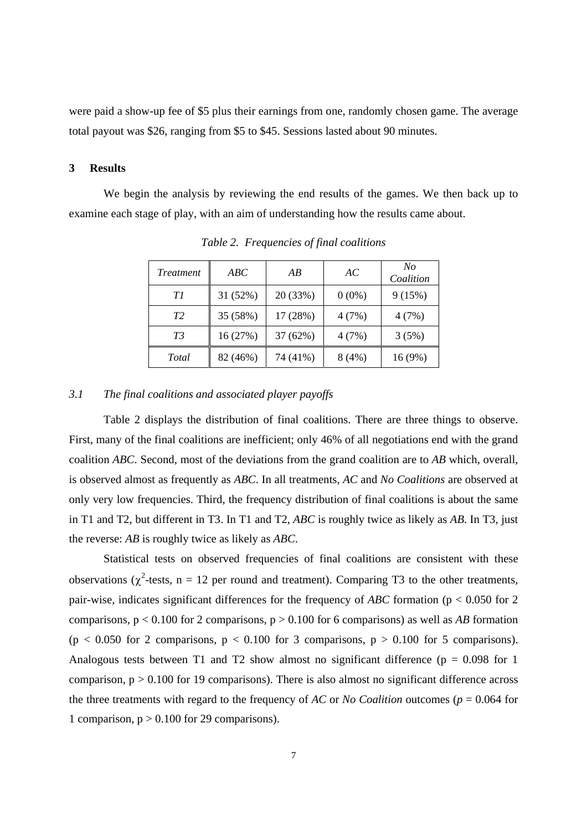were paid a show-up fee of \$5 plus their earnings from one, randomly chosen game. The average total payout was \$26, ranging from \$5 to \$45. Sessions lasted about 90 minutes.

#### **3 Results**

 We begin the analysis by reviewing the end results of the games. We then back up to examine each stage of play, with an aim of understanding how the results came about.

| <i>Treatment</i> | ABC      | AB       | AC       | No<br>Coalition |
|------------------|----------|----------|----------|-----------------|
| Τl               | 31(52%)  | 20 (33%) | $0(0\%)$ | 9(15%)          |
| T <sub>2</sub>   | 35 (58%) | 17 (28%) | 4(7%)    | 4(7%)           |
| T3               | 16(27%)  | 37 (62%) | 4(7%)    | 3(5%)           |
| Total            | 82 (46%) | 74 (41%) | 8(4%)    | 16(9%)          |

*Table 2. Frequencies of final coalitions* 

#### *3.1 The final coalitions and associated player payoffs*

 Table 2 displays the distribution of final coalitions. There are three things to observe. First, many of the final coalitions are inefficient; only 46% of all negotiations end with the grand coalition *ABC*. Second, most of the deviations from the grand coalition are to *AB* which, overall, is observed almost as frequently as *ABC*. In all treatments, *AC* and *No Coalitions* are observed at only very low frequencies. Third, the frequency distribution of final coalitions is about the same in T1 and T2, but different in T3. In T1 and T2, *ABC* is roughly twice as likely as *AB*. In T3, just the reverse: *AB* is roughly twice as likely as *ABC*.

 Statistical tests on observed frequencies of final coalitions are consistent with these observations ( $\chi^2$ -tests, n = 12 per round and treatment). Comparing T3 to the other treatments, pair-wise, indicates significant differences for the frequency of *ABC* formation (p < 0.050 for 2 comparisons,  $p < 0.100$  for 2 comparisons,  $p > 0.100$  for 6 comparisons) as well as *AB* formation  $(p < 0.050$  for 2 comparisons,  $p < 0.100$  for 3 comparisons,  $p > 0.100$  for 5 comparisons). Analogous tests between T1 and T2 show almost no significant difference ( $p = 0.098$  for 1 comparison,  $p > 0.100$  for 19 comparisons). There is also almost no significant difference across the three treatments with regard to the frequency of *AC* or *No Coalition* outcomes (*p* = 0.064 for 1 comparison,  $p > 0.100$  for 29 comparisons).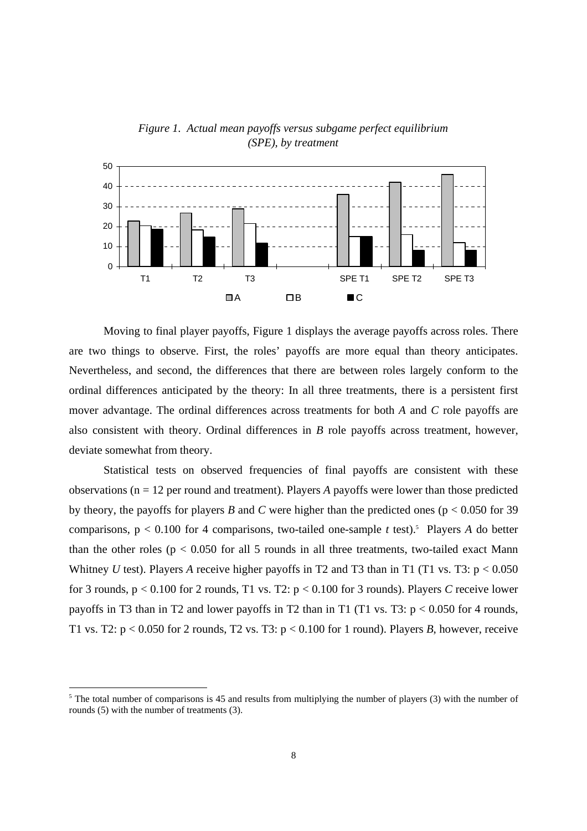

*Figure 1. Actual mean payoffs versus subgame perfect equilibrium (SPE), by treatment* 

Moving to final player payoffs, Figure 1 displays the average payoffs across roles. There are two things to observe. First, the roles' payoffs are more equal than theory anticipates. Nevertheless, and second, the differences that there are between roles largely conform to the ordinal differences anticipated by the theory: In all three treatments, there is a persistent first mover advantage. The ordinal differences across treatments for both *A* and *C* role payoffs are also consistent with theory. Ordinal differences in *B* role payoffs across treatment, however, deviate somewhat from theory.

 Statistical tests on observed frequencies of final payoffs are consistent with these observations (n = 12 per round and treatment). Players *A* payoffs were lower than those predicted by theory, the payoffs for players *B* and *C* were higher than the predicted ones ( $p < 0.050$  for 39 comparisons,  $p < 0.100$  for 4 comparisons, two-tailed one-sample *t* test).<sup>5</sup> Players *A* do better than the other roles ( $p < 0.050$  for all 5 rounds in all three treatments, two-tailed exact Mann Whitney *U* test). Players *A* receive higher payoffs in T2 and T3 than in T1 (T1 vs. T3:  $p < 0.050$ ) for 3 rounds, p < 0.100 for 2 rounds, T1 vs. T2: p < 0.100 for 3 rounds). Players *C* receive lower payoffs in T3 than in T2 and lower payoffs in T2 than in T1 (T1 vs. T3:  $p < 0.050$  for 4 rounds, T1 vs. T2:  $p < 0.050$  for 2 rounds, T2 vs. T3:  $p < 0.100$  for 1 round). Players B, however, receive

 $5$  The total number of comparisons is 45 and results from multiplying the number of players (3) with the number of rounds (5) with the number of treatments (3).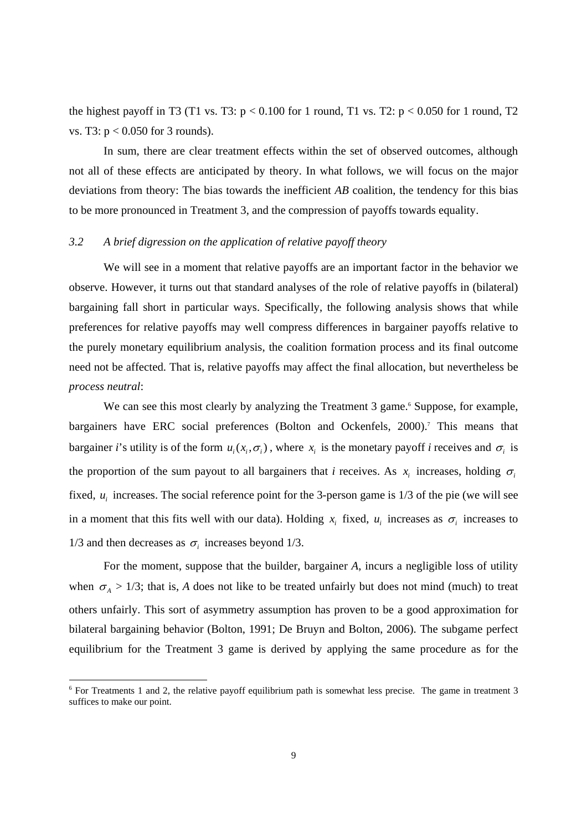the highest payoff in T3 (T1 vs. T3:  $p < 0.100$  for 1 round, T1 vs. T2:  $p < 0.050$  for 1 round, T2 vs. T3: p < 0.050 for 3 rounds).

 In sum, there are clear treatment effects within the set of observed outcomes, although not all of these effects are anticipated by theory. In what follows, we will focus on the major deviations from theory: The bias towards the inefficient *AB* coalition, the tendency for this bias to be more pronounced in Treatment 3, and the compression of payoffs towards equality.

#### *3.2 A brief digression on the application of relative payoff theory*

 We will see in a moment that relative payoffs are an important factor in the behavior we observe. However, it turns out that standard analyses of the role of relative payoffs in (bilateral) bargaining fall short in particular ways. Specifically, the following analysis shows that while preferences for relative payoffs may well compress differences in bargainer payoffs relative to the purely monetary equilibrium analysis, the coalition formation process and its final outcome need not be affected. That is, relative payoffs may affect the final allocation, but nevertheless be *process neutral*:

We can see this most clearly by analyzing the Treatment 3 game.<sup>6</sup> Suppose, for example, bargainers have ERC social preferences (Bolton and Ockenfels, 2000).<sup>7</sup> This means that bargainer *i*'s utility is of the form  $u_i(x_i, \sigma_i)$ , where  $x_i$  is the monetary payoff *i* receives and  $\sigma_i$  is the proportion of the sum payout to all bargainers that *i* receives. As  $x_i$  increases, holding  $\sigma_i$ fixed,  $u_i$  increases. The social reference point for the 3-person game is  $1/3$  of the pie (we will see in a moment that this fits well with our data). Holding  $x_i$  fixed,  $u_i$  increases as  $\sigma_i$  increases to 1/3 and then decreases as  $\sigma_i$  increases beyond 1/3.

 For the moment, suppose that the builder, bargainer *A*, incurs a negligible loss of utility when  $\sigma_A > 1/3$ ; that is, *A* does not like to be treated unfairly but does not mind (much) to treat others unfairly. This sort of asymmetry assumption has proven to be a good approximation for bilateral bargaining behavior (Bolton, 1991; De Bruyn and Bolton, 2006). The subgame perfect equilibrium for the Treatment 3 game is derived by applying the same procedure as for the

<sup>6</sup> For Treatments 1 and 2, the relative payoff equilibrium path is somewhat less precise. The game in treatment 3 suffices to make our point.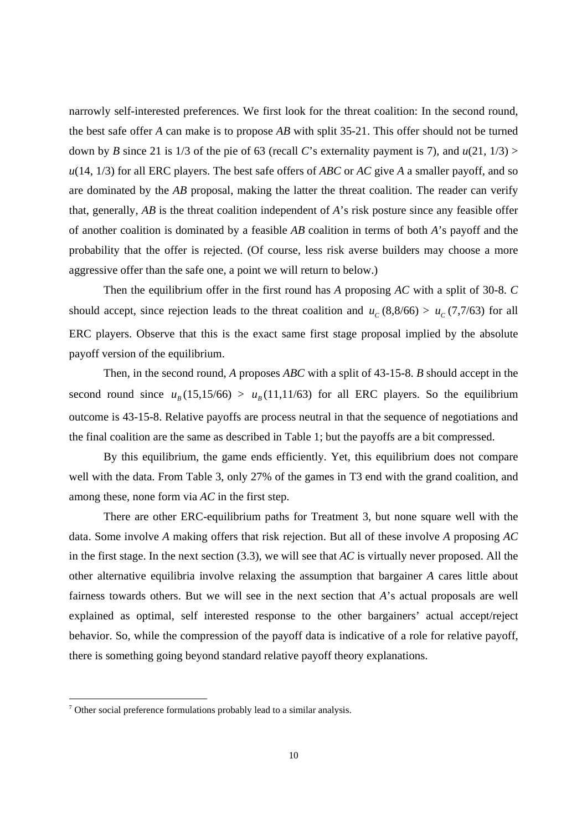narrowly self-interested preferences. We first look for the threat coalition: In the second round, the best safe offer *A* can make is to propose *AB* with split 35-21. This offer should not be turned down by *B* since 21 is 1/3 of the pie of 63 (recall *C*'s externality payment is 7), and  $u(21, 1/3)$  > *u*(14, 1/3) for all ERC players. The best safe offers of *ABC* or *AC* give *A* a smaller payoff, and so are dominated by the *AB* proposal, making the latter the threat coalition. The reader can verify that, generally, *AB* is the threat coalition independent of *A*'s risk posture since any feasible offer of another coalition is dominated by a feasible *AB* coalition in terms of both *A*'s payoff and the probability that the offer is rejected. (Of course, less risk averse builders may choose a more aggressive offer than the safe one, a point we will return to below.)

 Then the equilibrium offer in the first round has *A* proposing *AC* with a split of 30-8. *C* should accept, since rejection leads to the threat coalition and  $u_c$  (8,8/66) >  $u_c$  (7,7/63) for all ERC players. Observe that this is the exact same first stage proposal implied by the absolute payoff version of the equilibrium.

 Then, in the second round, *A* proposes *ABC* with a split of 43-15-8. *B* should accept in the second round since  $u_R(15,15/66) > u_R(11,11/63)$  for all ERC players. So the equilibrium outcome is 43-15-8. Relative payoffs are process neutral in that the sequence of negotiations and the final coalition are the same as described in Table 1; but the payoffs are a bit compressed.

 By this equilibrium, the game ends efficiently. Yet, this equilibrium does not compare well with the data. From Table 3, only 27% of the games in T3 end with the grand coalition, and among these, none form via *AC* in the first step.

 There are other ERC-equilibrium paths for Treatment 3, but none square well with the data. Some involve *A* making offers that risk rejection. But all of these involve *A* proposing *AC* in the first stage. In the next section (3.3), we will see that *AC* is virtually never proposed. All the other alternative equilibria involve relaxing the assumption that bargainer *A* cares little about fairness towards others. But we will see in the next section that *A*'s actual proposals are well explained as optimal, self interested response to the other bargainers' actual accept/reject behavior. So, while the compression of the payoff data is indicative of a role for relative payoff, there is something going beyond standard relative payoff theory explanations.

<sup>&</sup>lt;sup>7</sup> Other social preference formulations probably lead to a similar analysis.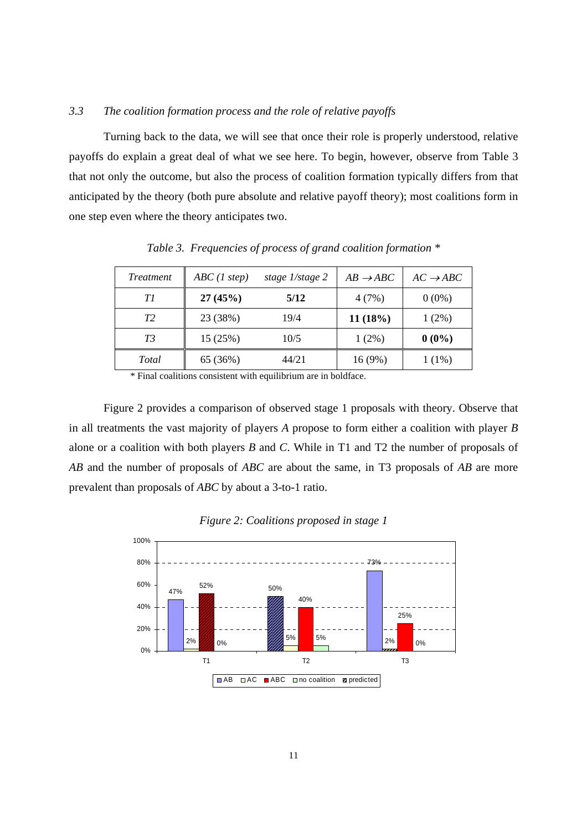#### *3.3 The coalition formation process and the role of relative payoffs*

 Turning back to the data, we will see that once their role is properly understood, relative payoffs do explain a great deal of what we see here. To begin, however, observe from Table 3 that not only the outcome, but also the process of coalition formation typically differs from that anticipated by the theory (both pure absolute and relative payoff theory); most coalitions form in one step even where the theory anticipates two.

| <i>Treatment</i> | ABC(1step) | stage 1/stage 2 | $AB \rightarrow ABC$ | $AC \rightarrow ABC$ |
|------------------|------------|-----------------|----------------------|----------------------|
| ΤI               | 27(45%)    | 5/12            | 4(7%)                | $0(0\%)$             |
| T <sub>2</sub>   | 23 (38%)   | 19/4            | 11(18%)              | $1(2\%)$             |
| T3               | 15(25%)    | 10/5            | $1(2\%)$             | $0(0\%)$             |
| Total            | 65 (36%)   | 44/21           | 16 (9%)              | $1(1\%)$             |

*Table 3. Frequencies of process of grand coalition formation \** 

\* Final coalitions consistent with equilibrium are in boldface.

 Figure 2 provides a comparison of observed stage 1 proposals with theory. Observe that in all treatments the vast majority of players *A* propose to form either a coalition with player *B* alone or a coalition with both players *B* and *C*. While in T1 and T2 the number of proposals of *AB* and the number of proposals of *ABC* are about the same, in T3 proposals of *AB* are more prevalent than proposals of *ABC* by about a 3-to-1 ratio.



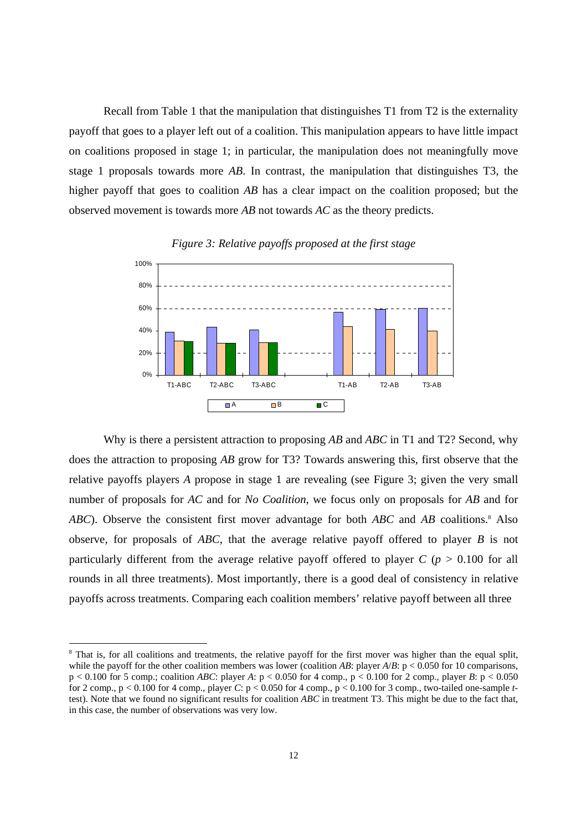Recall from Table 1 that the manipulation that distinguishes T1 from T2 is the externality payoff that goes to a player left out of a coalition. This manipulation appears to have little impact on coalitions proposed in stage 1; in particular, the manipulation does not meaningfully move stage 1 proposals towards more *AB*. In contrast, the manipulation that distinguishes T3, the higher payoff that goes to coalition *AB* has a clear impact on the coalition proposed; but the observed movement is towards more *AB* not towards *AC* as the theory predicts.



*Figure 3: Relative payoffs proposed at the first stage* 

 Why is there a persistent attraction to proposing *AB* and *ABC* in T1 and T2? Second, why does the attraction to proposing *AB* grow for T3? Towards answering this, first observe that the relative payoffs players *A* propose in stage 1 are revealing (see Figure 3; given the very small number of proposals for *AC* and for *No Coalition*, we focus only on proposals for *AB* and for ABC). Observe the consistent first mover advantage for both ABC and AB coalitions.<sup>8</sup> Also observe, for proposals of *ABC*, that the average relative payoff offered to player *B* is not particularly different from the average relative payoff offered to player  $C$  ( $p > 0.100$  for all rounds in all three treatments). Most importantly, there is a good deal of consistency in relative payoffs across treatments. Comparing each coalition members' relative payoff between all three

<sup>&</sup>lt;sup>8</sup> That is, for all coalitions and treatments, the relative payoff for the first mover was higher than the equal split, while the payoff for the other coalition members was lower (coalition *AB*: player  $A/B$ : p < 0.050 for 10 comparisons,  $p < 0.100$  for 5 comp.; coalition *ABC*: player *A*:  $p < 0.050$  for 4 comp.,  $p < 0.100$  for 2 comp., player *B*:  $p < 0.050$ for 2 comp.,  $p < 0.100$  for 4 comp., player *C*:  $p < 0.050$  for 4 comp.,  $p < 0.100$  for 3 comp., two-tailed one-sample *t*test). Note that we found no significant results for coalition *ABC* in treatment T3. This might be due to the fact that, in this case, the number of observations was very low.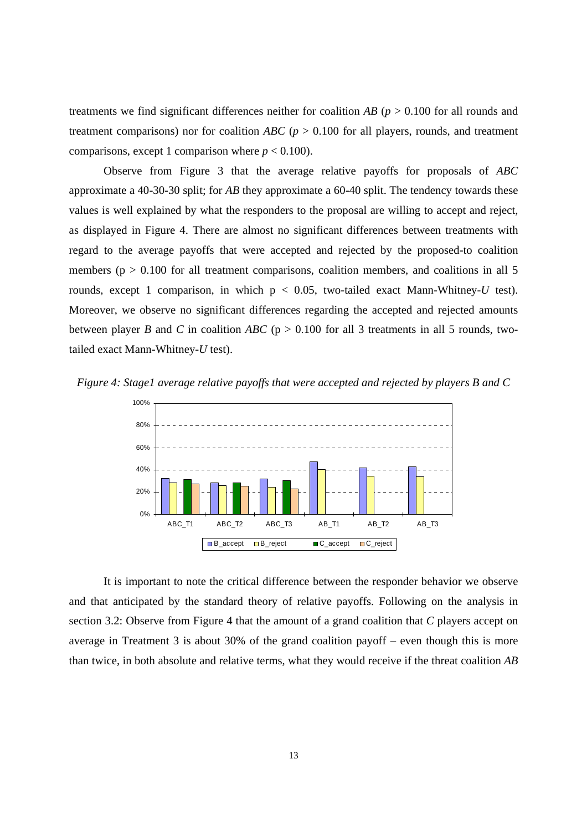treatments we find significant differences neither for coalition *AB* (*p* > 0.100 for all rounds and treatment comparisons) nor for coalition *ABC* ( $p > 0.100$  for all players, rounds, and treatment comparisons, except 1 comparison where  $p < 0.100$ ).

 Observe from Figure 3 that the average relative payoffs for proposals of *ABC* approximate a 40-30-30 split; for *AB* they approximate a 60-40 split. The tendency towards these values is well explained by what the responders to the proposal are willing to accept and reject, as displayed in Figure 4. There are almost no significant differences between treatments with regard to the average payoffs that were accepted and rejected by the proposed-to coalition members ( $p > 0.100$  for all treatment comparisons, coalition members, and coalitions in all 5 rounds, except 1 comparison, in which  $p < 0.05$ , two-tailed exact Mann-Whitney-U test). Moreover, we observe no significant differences regarding the accepted and rejected amounts between player *B* and *C* in coalition *ABC* ( $p > 0.100$  for all 3 treatments in all 5 rounds, twotailed exact Mann-Whitney-*U* test).





 It is important to note the critical difference between the responder behavior we observe and that anticipated by the standard theory of relative payoffs. Following on the analysis in section 3.2: Observe from Figure 4 that the amount of a grand coalition that *C* players accept on average in Treatment 3 is about 30% of the grand coalition payoff – even though this is more than twice, in both absolute and relative terms, what they would receive if the threat coalition *AB*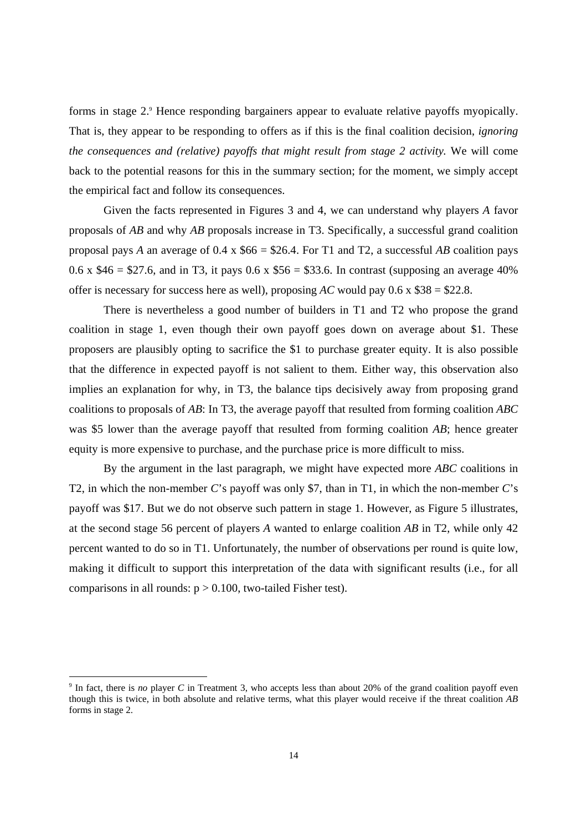forms in stage 2.<sup>9</sup> Hence responding bargainers appear to evaluate relative payoffs myopically. That is, they appear to be responding to offers as if this is the final coalition decision, *ignoring the consequences and (relative) payoffs that might result from stage 2 activity.* We will come back to the potential reasons for this in the summary section; for the moment, we simply accept the empirical fact and follow its consequences.

 Given the facts represented in Figures 3 and 4, we can understand why players *A* favor proposals of *AB* and why *AB* proposals increase in T3. Specifically, a successful grand coalition proposal pays *A* an average of 0.4 x \$66 = \$26.4. For T1 and T2, a successful *AB* coalition pays 0.6 x  $$46 = $27.6$ , and in T3, it pays 0.6 x  $$56 = $33.6$ . In contrast (supposing an average 40%) offer is necessary for success here as well), proposing *AC* would pay  $0.6 \times $38 = $22.8$ .

 There is nevertheless a good number of builders in T1 and T2 who propose the grand coalition in stage 1, even though their own payoff goes down on average about \$1. These proposers are plausibly opting to sacrifice the \$1 to purchase greater equity. It is also possible that the difference in expected payoff is not salient to them. Either way, this observation also implies an explanation for why, in T3, the balance tips decisively away from proposing grand coalitions to proposals of *AB*: In T3, the average payoff that resulted from forming coalition *ABC* was \$5 lower than the average payoff that resulted from forming coalition *AB*; hence greater equity is more expensive to purchase, and the purchase price is more difficult to miss.

 By the argument in the last paragraph, we might have expected more *ABC* coalitions in T2, in which the non-member *C*'s payoff was only \$7, than in T1, in which the non-member *C*'s payoff was \$17. But we do not observe such pattern in stage 1. However, as Figure 5 illustrates, at the second stage 56 percent of players *A* wanted to enlarge coalition *AB* in T2, while only 42 percent wanted to do so in T1. Unfortunately, the number of observations per round is quite low, making it difficult to support this interpretation of the data with significant results (i.e., for all comparisons in all rounds:  $p > 0.100$ , two-tailed Fisher test).

<sup>&</sup>lt;sup>9</sup> In fact, there is *no* player *C* in Treatment 3, who accepts less than about 20% of the grand coalition payoff even though this is twice, in both absolute and relative terms, what this player would receive if the threat coalition *AB* forms in stage 2.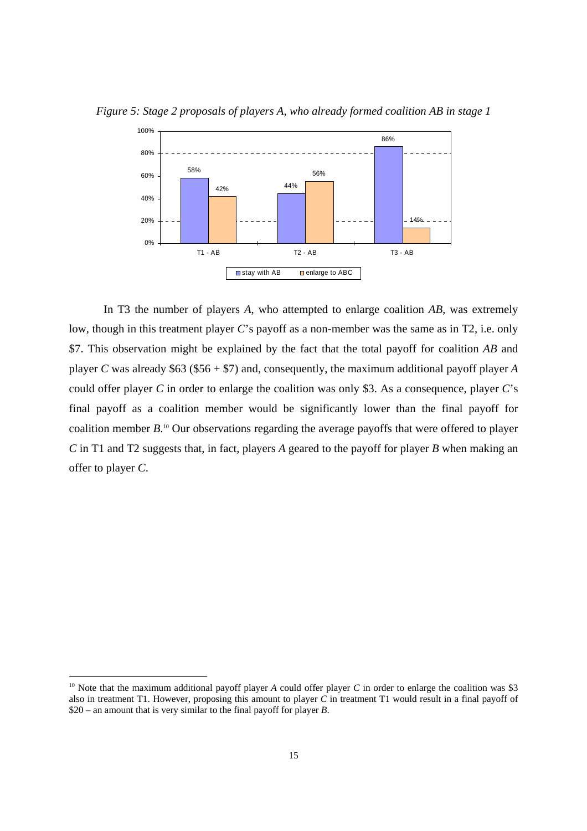

*Figure 5: Stage 2 proposals of players A, who already formed coalition AB in stage 1* 

 In T3 the number of players *A*, who attempted to enlarge coalition *AB*, was extremely low, though in this treatment player *C*'s payoff as a non-member was the same as in T2, i.e. only \$7. This observation might be explained by the fact that the total payoff for coalition *AB* and player *C* was already \$63 (\$56 + \$7) and, consequently, the maximum additional payoff player *A* could offer player *C* in order to enlarge the coalition was only \$3. As a consequence, player *C*'s final payoff as a coalition member would be significantly lower than the final payoff for coalition member *B*. 10 Our observations regarding the average payoffs that were offered to player *C* in T1 and T2 suggests that, in fact, players *A* geared to the payoff for player *B* when making an offer to player *C*.

<sup>&</sup>lt;sup>10</sup> Note that the maximum additional payoff player *A* could offer player *C* in order to enlarge the coalition was \$3 also in treatment T1. However, proposing this amount to player *C* in treatment T1 would result in a final payoff of \$20 – an amount that is very similar to the final payoff for player *B*.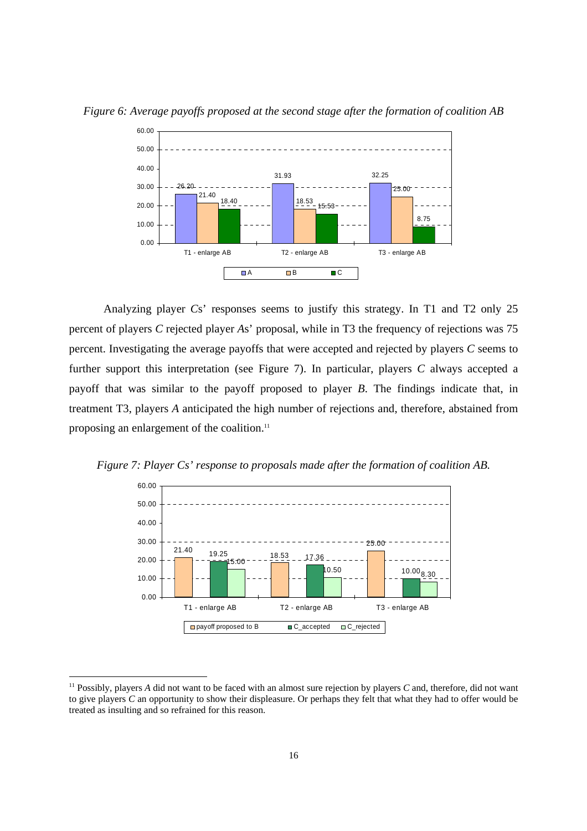

*Figure 6: Average payoffs proposed at the second stage after the formation of coalition AB* 

 Analyzing player *C*s' responses seems to justify this strategy. In T1 and T2 only 25 percent of players *C* rejected player *A*s' proposal, while in T3 the frequency of rejections was 75 percent. Investigating the average payoffs that were accepted and rejected by players *C* seems to further support this interpretation (see Figure 7). In particular, players *C* always accepted a payoff that was similar to the payoff proposed to player *B*. The findings indicate that, in treatment T3, players *A* anticipated the high number of rejections and, therefore, abstained from proposing an enlargement of the coalition.<sup>11</sup>





<sup>&</sup>lt;sup>11</sup> Possibly, players *A* did not want to be faced with an almost sure rejection by players *C* and, therefore, did not want to give players *C* an opportunity to show their displeasure. Or perhaps they felt that what they had to offer would be treated as insulting and so refrained for this reason.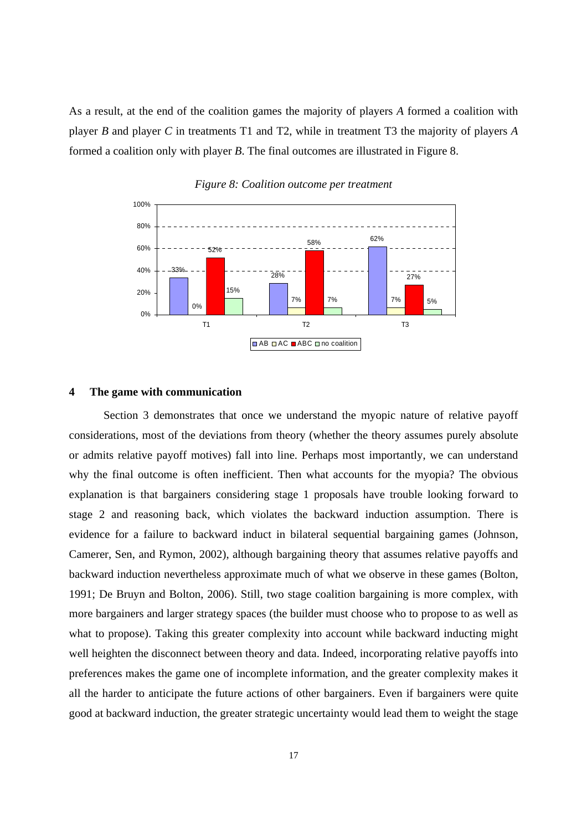As a result, at the end of the coalition games the majority of players *A* formed a coalition with player *B* and player *C* in treatments T1 and T2, while in treatment T3 the majority of players *A* formed a coalition only with player *B*. The final outcomes are illustrated in Figure 8.



*Figure 8: Coalition outcome per treatment* 

#### **4 The game with communication**

 Section 3 demonstrates that once we understand the myopic nature of relative payoff considerations, most of the deviations from theory (whether the theory assumes purely absolute or admits relative payoff motives) fall into line. Perhaps most importantly, we can understand why the final outcome is often inefficient. Then what accounts for the myopia? The obvious explanation is that bargainers considering stage 1 proposals have trouble looking forward to stage 2 and reasoning back, which violates the backward induction assumption. There is evidence for a failure to backward induct in bilateral sequential bargaining games (Johnson, Camerer, Sen, and Rymon, 2002), although bargaining theory that assumes relative payoffs and backward induction nevertheless approximate much of what we observe in these games (Bolton, 1991; De Bruyn and Bolton, 2006). Still, two stage coalition bargaining is more complex, with more bargainers and larger strategy spaces (the builder must choose who to propose to as well as what to propose). Taking this greater complexity into account while backward inducting might well heighten the disconnect between theory and data. Indeed, incorporating relative payoffs into preferences makes the game one of incomplete information, and the greater complexity makes it all the harder to anticipate the future actions of other bargainers. Even if bargainers were quite good at backward induction, the greater strategic uncertainty would lead them to weight the stage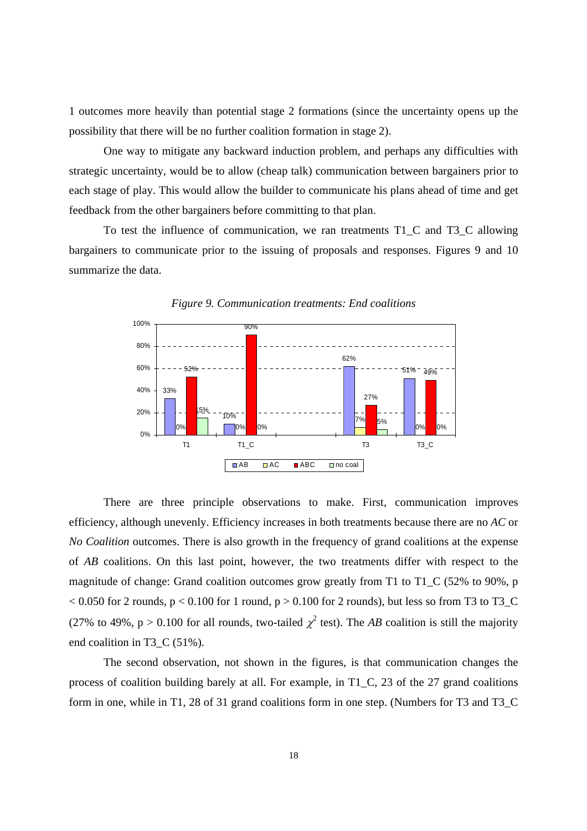1 outcomes more heavily than potential stage 2 formations (since the uncertainty opens up the possibility that there will be no further coalition formation in stage 2).

 One way to mitigate any backward induction problem, and perhaps any difficulties with strategic uncertainty, would be to allow (cheap talk) communication between bargainers prior to each stage of play. This would allow the builder to communicate his plans ahead of time and get feedback from the other bargainers before committing to that plan.

 To test the influence of communication, we ran treatments T1\_C and T3\_C allowing bargainers to communicate prior to the issuing of proposals and responses. Figures 9 and 10 summarize the data.





 There are three principle observations to make. First, communication improves efficiency, although unevenly. Efficiency increases in both treatments because there are no *AC* or *No Coalition* outcomes. There is also growth in the frequency of grand coalitions at the expense of *AB* coalitions. On this last point, however, the two treatments differ with respect to the magnitude of change: Grand coalition outcomes grow greatly from T1 to T1 C (52% to 90%, p  $< 0.050$  for 2 rounds, p  $< 0.100$  for 1 round, p  $> 0.100$  for 2 rounds), but less so from T3 to T3\_C (27% to 49%,  $p > 0.100$  for all rounds, two-tailed  $\chi^2$  test). The *AB* coalition is still the majority end coalition in T3 C (51%).

 The second observation, not shown in the figures, is that communication changes the process of coalition building barely at all. For example, in T1\_C, 23 of the 27 grand coalitions form in one, while in T1, 28 of 31 grand coalitions form in one step. (Numbers for T3 and T3\_C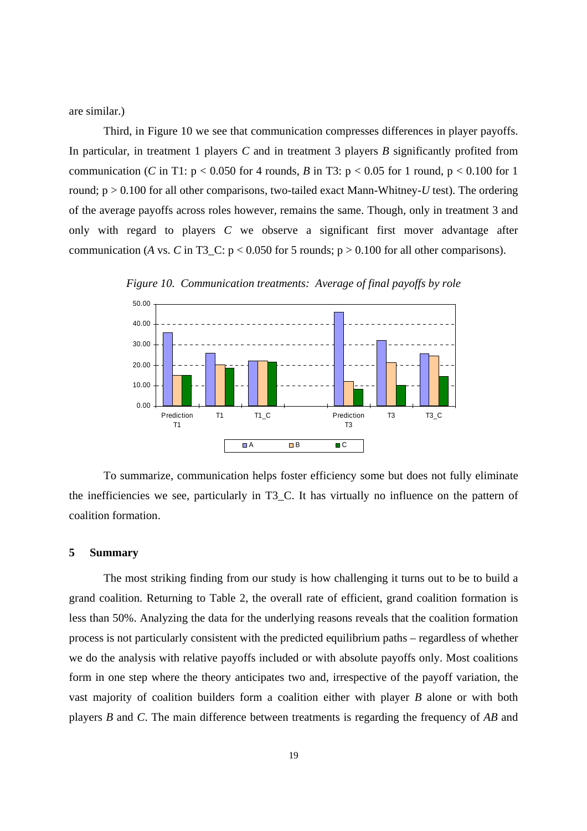are similar.)

 Third, in Figure 10 we see that communication compresses differences in player payoffs. In particular, in treatment 1 players *C* and in treatment 3 players *B* significantly profited from communication (*C* in T1:  $p < 0.050$  for 4 rounds, *B* in T3:  $p < 0.05$  for 1 round,  $p < 0.100$  for 1 round;  $p > 0.100$  for all other comparisons, two-tailed exact Mann-Whitney-U test). The ordering of the average payoffs across roles however, remains the same. Though, only in treatment 3 and only with regard to players *C* we observe a significant first mover advantage after communication (*A* vs. *C* in T3 C:  $p < 0.050$  for 5 rounds;  $p > 0.100$  for all other comparisons).



*Figure 10. Communication treatments: Average of final payoffs by role* 

 To summarize, communication helps foster efficiency some but does not fully eliminate the inefficiencies we see, particularly in T3\_C. It has virtually no influence on the pattern of coalition formation.

#### **5 Summary**

 The most striking finding from our study is how challenging it turns out to be to build a grand coalition. Returning to Table 2, the overall rate of efficient, grand coalition formation is less than 50%. Analyzing the data for the underlying reasons reveals that the coalition formation process is not particularly consistent with the predicted equilibrium paths – regardless of whether we do the analysis with relative payoffs included or with absolute payoffs only. Most coalitions form in one step where the theory anticipates two and, irrespective of the payoff variation, the vast majority of coalition builders form a coalition either with player *B* alone or with both players *B* and *C*. The main difference between treatments is regarding the frequency of *AB* and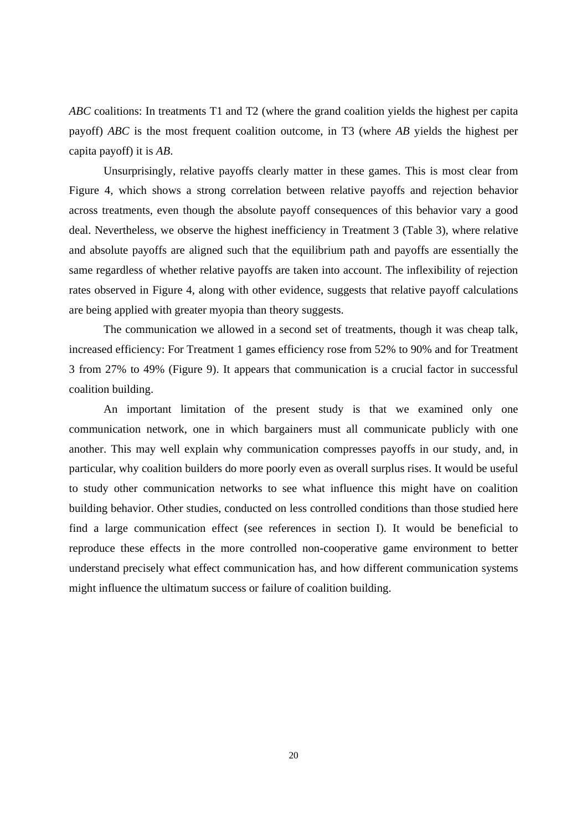*ABC* coalitions: In treatments T1 and T2 (where the grand coalition yields the highest per capita payoff) *ABC* is the most frequent coalition outcome, in T3 (where *AB* yields the highest per capita payoff) it is *AB*.

 Unsurprisingly, relative payoffs clearly matter in these games. This is most clear from Figure 4, which shows a strong correlation between relative payoffs and rejection behavior across treatments, even though the absolute payoff consequences of this behavior vary a good deal. Nevertheless, we observe the highest inefficiency in Treatment 3 (Table 3), where relative and absolute payoffs are aligned such that the equilibrium path and payoffs are essentially the same regardless of whether relative payoffs are taken into account. The inflexibility of rejection rates observed in Figure 4, along with other evidence, suggests that relative payoff calculations are being applied with greater myopia than theory suggests.

 The communication we allowed in a second set of treatments, though it was cheap talk, increased efficiency: For Treatment 1 games efficiency rose from 52% to 90% and for Treatment 3 from 27% to 49% (Figure 9). It appears that communication is a crucial factor in successful coalition building.

 An important limitation of the present study is that we examined only one communication network, one in which bargainers must all communicate publicly with one another. This may well explain why communication compresses payoffs in our study, and, in particular, why coalition builders do more poorly even as overall surplus rises. It would be useful to study other communication networks to see what influence this might have on coalition building behavior. Other studies, conducted on less controlled conditions than those studied here find a large communication effect (see references in section I). It would be beneficial to reproduce these effects in the more controlled non-cooperative game environment to better understand precisely what effect communication has, and how different communication systems might influence the ultimatum success or failure of coalition building.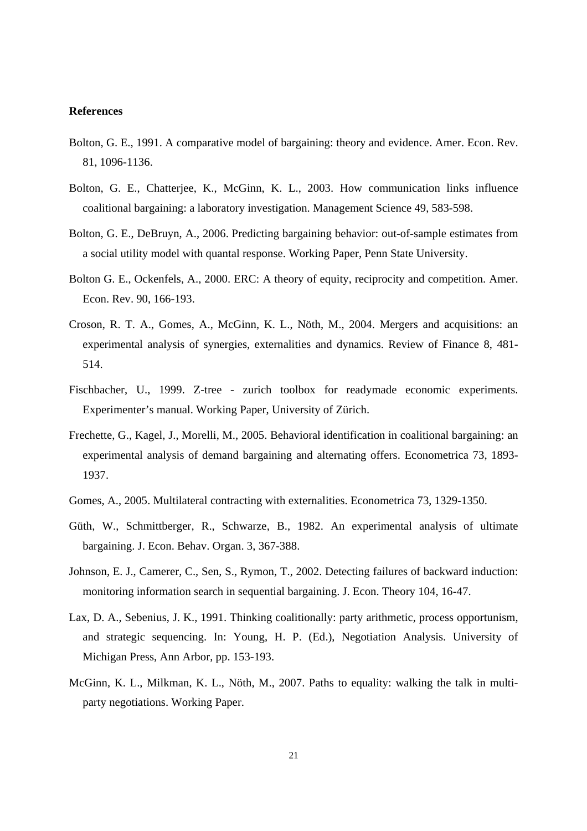#### **References**

- Bolton, G. E., 1991. A comparative model of bargaining: theory and evidence. Amer. Econ. Rev. 81, 1096-1136.
- Bolton, G. E., Chatterjee, K., McGinn, K. L., 2003. How communication links influence coalitional bargaining: a laboratory investigation. Management Science 49, 583-598.
- Bolton, G. E., DeBruyn, A., 2006. Predicting bargaining behavior: out-of-sample estimates from a social utility model with quantal response. Working Paper, Penn State University.
- Bolton G. E., Ockenfels, A., 2000. ERC: A theory of equity, reciprocity and competition. Amer. Econ. Rev. 90, 166-193.
- Croson, R. T. A., Gomes, A., McGinn, K. L., Nöth, M., 2004. Mergers and acquisitions: an experimental analysis of synergies, externalities and dynamics. Review of Finance 8, 481- 514.
- Fischbacher, U., 1999. Z-tree zurich toolbox for readymade economic experiments. Experimenter's manual. Working Paper, University of Zürich.
- Frechette, G., Kagel, J., Morelli, M., 2005. Behavioral identification in coalitional bargaining: an experimental analysis of demand bargaining and alternating offers. Econometrica 73, 1893- 1937.
- Gomes, A., 2005. Multilateral contracting with externalities. Econometrica 73, 1329-1350.
- Güth, W., Schmittberger, R., Schwarze, B., 1982. An experimental analysis of ultimate bargaining. J. Econ. Behav. Organ. 3, 367-388.
- Johnson, E. J., Camerer, C., Sen, S., Rymon, T., 2002. Detecting failures of backward induction: monitoring information search in sequential bargaining. J. Econ. Theory 104, 16-47.
- Lax, D. A., Sebenius, J. K., 1991. Thinking coalitionally: party arithmetic, process opportunism, and strategic sequencing. In: Young, H. P. (Ed.), Negotiation Analysis. University of Michigan Press, Ann Arbor, pp. 153-193.
- McGinn, K. L., Milkman, K. L., Nöth, M., 2007. Paths to equality: walking the talk in multiparty negotiations. Working Paper.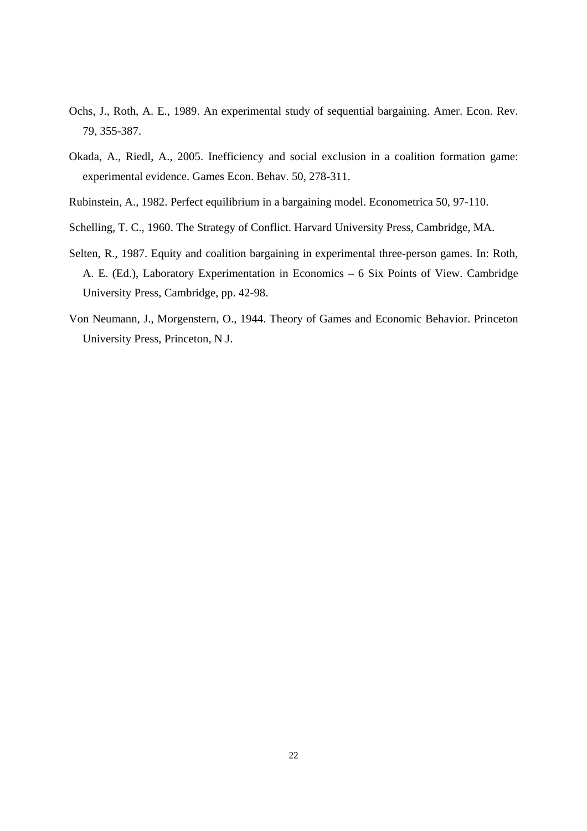- Ochs, J., Roth, A. E., 1989. An experimental study of sequential bargaining. Amer. Econ. Rev. 79, 355-387.
- Okada, A., Riedl, A., 2005. Inefficiency and social exclusion in a coalition formation game: experimental evidence. Games Econ. Behav. 50, 278-311.
- Rubinstein, A., 1982. Perfect equilibrium in a bargaining model. Econometrica 50, 97-110.
- Schelling, T. C., 1960. The Strategy of Conflict. Harvard University Press, Cambridge, MA.
- Selten, R., 1987. Equity and coalition bargaining in experimental three-person games. In: Roth, A. E. (Ed.), Laboratory Experimentation in Economics – 6 Six Points of View. Cambridge University Press, Cambridge, pp. 42-98.
- Von Neumann, J., Morgenstern, O., 1944. Theory of Games and Economic Behavior. Princeton University Press, Princeton, N J.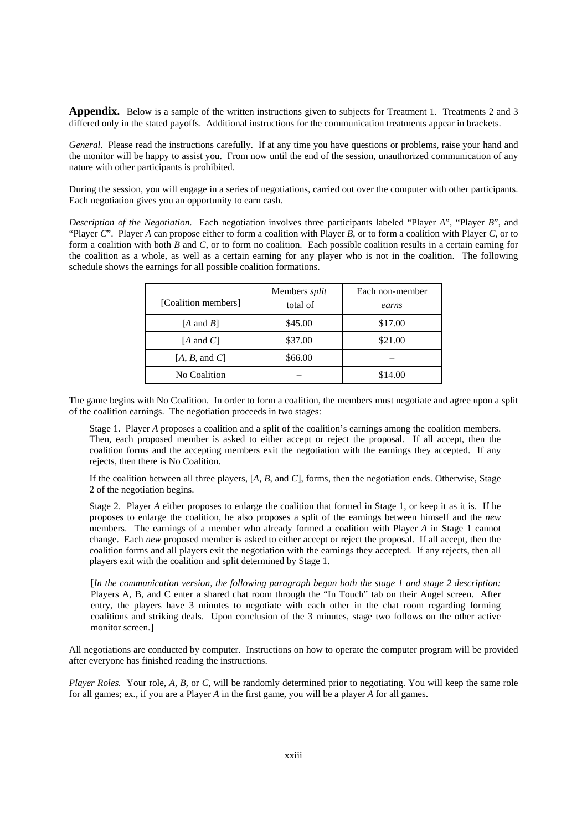**Appendix.** Below is a sample of the written instructions given to subjects for Treatment 1. Treatments 2 and 3 differed only in the stated payoffs. Additional instructions for the communication treatments appear in brackets.

*General*. Please read the instructions carefully. If at any time you have questions or problems, raise your hand and the monitor will be happy to assist you. From now until the end of the session, unauthorized communication of any nature with other participants is prohibited.

During the session, you will engage in a series of negotiations, carried out over the computer with other participants. Each negotiation gives you an opportunity to earn cash.

*Description of the Negotiation*. Each negotiation involves three participants labeled "Player *A*", "Player *B*", and "Player *C*". Player *A* can propose either to form a coalition with Player *B*, or to form a coalition with Player *C*, or to form a coalition with both *B* and *C*, or to form no coalition. Each possible coalition results in a certain earning for the coalition as a whole, as well as a certain earning for any player who is not in the coalition. The following schedule shows the earnings for all possible coalition formations.

| [Coalition members]  | Members split<br>total of | Each non-member<br>earns |
|----------------------|---------------------------|--------------------------|
| $[A \text{ and } B]$ | \$45.00                   | \$17.00                  |
| $[A \text{ and } C]$ | \$37.00                   | \$21.00                  |
| [A, B, and C]        | \$66.00                   |                          |
| No Coalition         |                           | \$14.00                  |

The game begins with No Coalition. In order to form a coalition, the members must negotiate and agree upon a split of the coalition earnings. The negotiation proceeds in two stages:

Stage 1. Player *A* proposes a coalition and a split of the coalition's earnings among the coalition members. Then, each proposed member is asked to either accept or reject the proposal. If all accept, then the coalition forms and the accepting members exit the negotiation with the earnings they accepted. If any rejects, then there is No Coalition.

If the coalition between all three players, [*A*, *B*, and *C*], forms, then the negotiation ends. Otherwise, Stage 2 of the negotiation begins.

Stage 2. Player *A* either proposes to enlarge the coalition that formed in Stage 1, or keep it as it is. If he proposes to enlarge the coalition, he also proposes a split of the earnings between himself and the *new*  members. The earnings of a member who already formed a coalition with Player *A* in Stage 1 cannot change. Each *new* proposed member is asked to either accept or reject the proposal. If all accept, then the coalition forms and all players exit the negotiation with the earnings they accepted. If any rejects, then all players exit with the coalition and split determined by Stage 1.

[*In the communication version, the following paragraph began both the stage 1 and stage 2 description:*  Players A, B, and C enter a shared chat room through the "In Touch" tab on their Angel screen. After entry, the players have 3 minutes to negotiate with each other in the chat room regarding forming coalitions and striking deals. Upon conclusion of the 3 minutes, stage two follows on the other active monitor screen.]

All negotiations are conducted by computer. Instructions on how to operate the computer program will be provided after everyone has finished reading the instructions.

*Player Roles.* Your role, *A*, *B*, or *C*, will be randomly determined prior to negotiating. You will keep the same role for all games; ex., if you are a Player *A* in the first game, you will be a player *A* for all games.